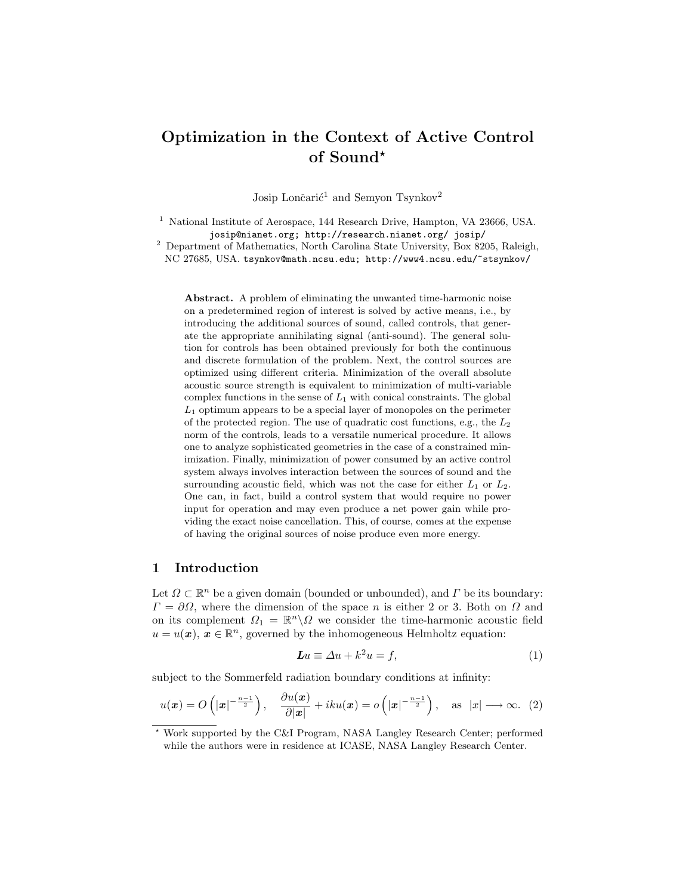# Optimization in the Context of Active Control of Sound?

Josip Lončarić<sup>1</sup> and Semyon Tsynkov<sup>2</sup>

<sup>1</sup> National Institute of Aerospace, 144 Research Drive, Hampton, VA 23666, USA. josip@nianet.org; http://research.nianet.org/ josip/

 $^2$  Department of Mathematics, North Carolina State University, Box 8205, Raleigh, NC 27685, USA. tsynkov@math.ncsu.edu; http://www4.ncsu.edu/~stsynkov/

Abstract. A problem of eliminating the unwanted time-harmonic noise on a predetermined region of interest is solved by active means, i.e., by introducing the additional sources of sound, called controls, that generate the appropriate annihilating signal (anti-sound). The general solution for controls has been obtained previously for both the continuous and discrete formulation of the problem. Next, the control sources are optimized using different criteria. Minimization of the overall absolute acoustic source strength is equivalent to minimization of multi-variable complex functions in the sense of  $L_1$  with conical constraints. The global  $L_1$  optimum appears to be a special layer of monopoles on the perimeter of the protected region. The use of quadratic cost functions, e.g., the  $L_2$ norm of the controls, leads to a versatile numerical procedure. It allows one to analyze sophisticated geometries in the case of a constrained minimization. Finally, minimization of power consumed by an active control system always involves interaction between the sources of sound and the surrounding acoustic field, which was not the case for either  $L_1$  or  $L_2$ . One can, in fact, build a control system that would require no power input for operation and may even produce a net power gain while providing the exact noise cancellation. This, of course, comes at the expense of having the original sources of noise produce even more energy.

## 1 Introduction

Let  $\Omega \subset \mathbb{R}^n$  be a given domain (bounded or unbounded), and  $\Gamma$  be its boundary:  $\Gamma = \partial\Omega$ , where the dimension of the space n is either 2 or 3. Both on  $\Omega$  and on its complement  $\Omega_1 = \mathbb{R}^n \setminus \Omega$  we consider the time-harmonic acoustic field  $u = u(\boldsymbol{x}), \, \boldsymbol{x} \in \mathbb{R}^n$ , governed by the inhomogeneous Helmholtz equation:

$$
Lu \equiv \Delta u + k^2 u = f,\tag{1}
$$

subject to the Sommerfeld radiation boundary conditions at infinity:

$$
u(\boldsymbol{x}) = O\left(|\boldsymbol{x}|^{-\frac{n-1}{2}}\right), \quad \frac{\partial u(\boldsymbol{x})}{\partial |\boldsymbol{x}|} + iku(\boldsymbol{x}) = o\left(|\boldsymbol{x}|^{-\frac{n-1}{2}}\right), \quad \text{as } |\boldsymbol{x}| \longrightarrow \infty. \tag{2}
$$

<sup>?</sup> Work supported by the C&I Program, NASA Langley Research Center; performed while the authors were in residence at ICASE, NASA Langley Research Center.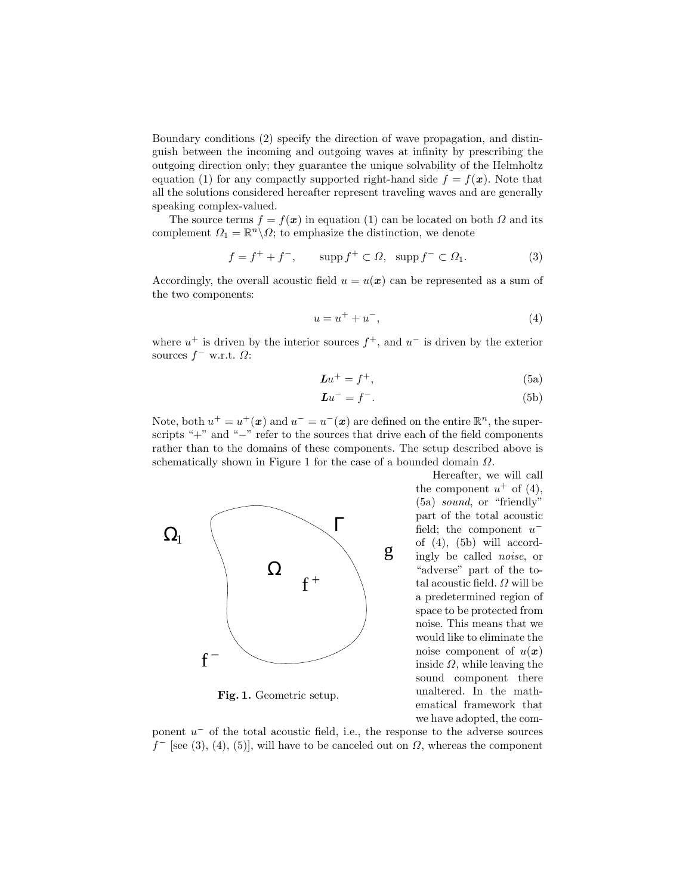Boundary conditions (2) specify the direction of wave propagation, and distinguish between the incoming and outgoing waves at infinity by prescribing the outgoing direction only; they guarantee the unique solvability of the Helmholtz equation (1) for any compactly supported right-hand side  $f = f(x)$ . Note that all the solutions considered hereafter represent traveling waves and are generally speaking complex-valued.

The source terms  $f = f(\mathbf{x})$  in equation (1) can be located on both  $\Omega$  and its complement  $\Omega_1 = \mathbb{R}^n \backslash \Omega$ ; to emphasize the distinction, we denote

$$
f = f^+ + f^-, \qquad \text{supp } f^+ \subset \Omega, \ \text{supp } f^- \subset \Omega_1. \tag{3}
$$

Accordingly, the overall acoustic field  $u = u(x)$  can be represented as a sum of the two components:

$$
u = u^{+} + u^{-}, \t\t(4)
$$

where  $u^+$  is driven by the interior sources  $f^+$ , and  $u^-$  is driven by the exterior sources  $f^-$  w.r.t.  $\Omega$ :

$$
Lu^{+} = f^{+},\tag{5a}
$$

$$
Lu^- = f^-. \tag{5b}
$$

Note, both  $u^+ = u^+({\bf x})$  and  $u^- = u^-({\bf x})$  are defined on the entire  $\mathbb{R}^n$ , the superscripts "+" and "−" refer to the sources that drive each of the field components rather than to the domains of these components. The setup described above is schematically shown in Figure 1 for the case of a bounded domain  $\Omega$ .



Fig. 1. Geometric setup.

Hereafter, we will call the component  $u^+$  of (4), (5a) sound, or "friendly" part of the total acoustic field; the component  $u^$ of  $(4)$ ,  $(5b)$  will accordingly be called noise, or "adverse" part of the total acoustic field.  $\Omega$  will be a predetermined region of space to be protected from noise. This means that we would like to eliminate the noise component of  $u(x)$ inside  $\Omega$ , while leaving the sound component there unaltered. In the mathematical framework that we have adopted, the com-

ponent  $u^-$  of the total acoustic field, i.e., the response to the adverse sources  $f^-$  [see (3), (4), (5)], will have to be canceled out on  $\Omega$ , whereas the component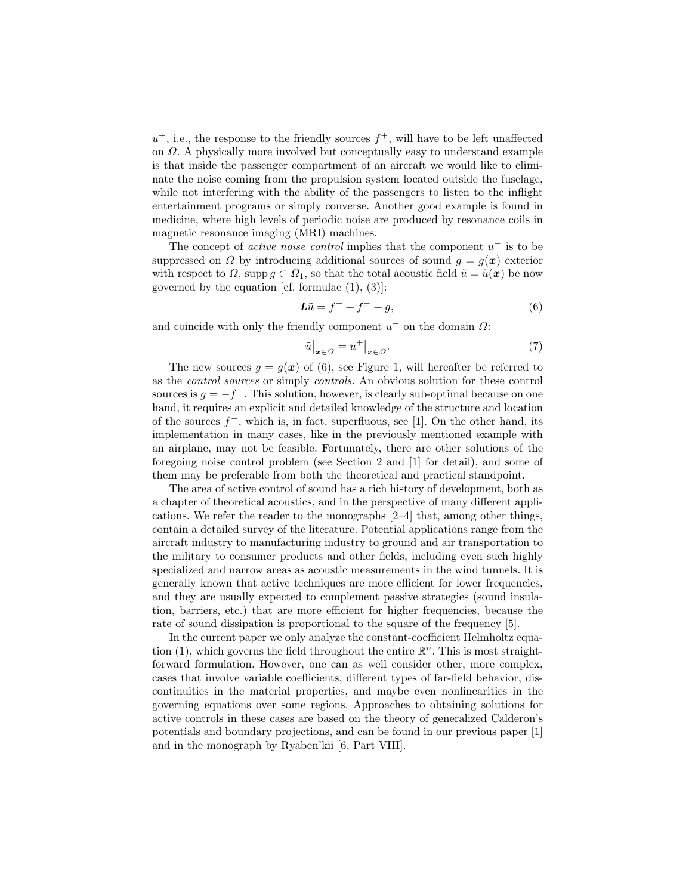$u^+$ , i.e., the response to the friendly sources  $f^+$ , will have to be left unaffected on Ω. A physically more involved but conceptually easy to understand example is that inside the passenger compartment of an aircraft we would like to eliminate the noise coming from the propulsion system located outside the fuselage, while not interfering with the ability of the passengers to listen to the inflight entertainment programs or simply converse. Another good example is found in medicine, where high levels of periodic noise are produced by resonance coils in magnetic resonance imaging (MRI) machines.

The concept of *active noise control* implies that the component  $u^-$  is to be suppressed on  $\Omega$  by introducing additional sources of sound  $g = g(x)$  exterior with respect to  $\Omega$ , supp  $g \subset \Omega_1$ , so that the total acoustic field  $\tilde{u} = \tilde{u}(\boldsymbol{x})$  be now governed by the equation [cf. formulae  $(1)$ ,  $(3)$ ]:

$$
\mathbf{L}\tilde{u} = f^+ + f^- + g,\tag{6}
$$

and coincide with only the friendly component  $u^+$  on the domain  $\Omega$ :

$$
\tilde{u}\big|_{x\in\Omega} = u^+\big|_{x\in\Omega}.\tag{7}
$$

The new sources  $g = g(x)$  of (6), see Figure 1, will hereafter be referred to as the control sources or simply controls. An obvious solution for these control sources is  $g = -f^-$ . This solution, however, is clearly sub-optimal because on one hand, it requires an explicit and detailed knowledge of the structure and location of the sources  $f^-$ , which is, in fact, superfluous, see [1]. On the other hand, its implementation in many cases, like in the previously mentioned example with an airplane, may not be feasible. Fortunately, there are other solutions of the foregoing noise control problem (see Section 2 and [1] for detail), and some of them may be preferable from both the theoretical and practical standpoint.

The area of active control of sound has a rich history of development, both as a chapter of theoretical acoustics, and in the perspective of many different applications. We refer the reader to the monographs [2–4] that, among other things, contain a detailed survey of the literature. Potential applications range from the aircraft industry to manufacturing industry to ground and air transportation to the military to consumer products and other fields, including even such highly specialized and narrow areas as acoustic measurements in the wind tunnels. It is generally known that active techniques are more efficient for lower frequencies, and they are usually expected to complement passive strategies (sound insulation, barriers, etc.) that are more efficient for higher frequencies, because the rate of sound dissipation is proportional to the square of the frequency [5].

In the current paper we only analyze the constant-coefficient Helmholtz equation (1), which governs the field throughout the entire  $\mathbb{R}^n$ . This is most straightforward formulation. However, one can as well consider other, more complex, cases that involve variable coefficients, different types of far-field behavior, discontinuities in the material properties, and maybe even nonlinearities in the governing equations over some regions. Approaches to obtaining solutions for active controls in these cases are based on the theory of generalized Calderon's potentials and boundary projections, and can be found in our previous paper [1] and in the monograph by Ryaben'kii [6, Part VIII].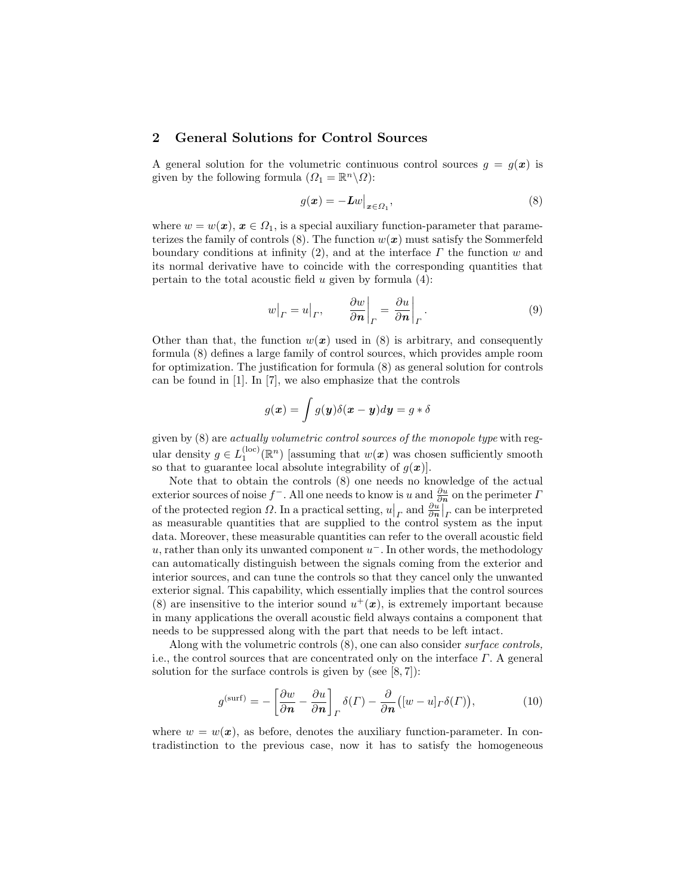## 2 General Solutions for Control Sources

A general solution for the volumetric continuous control sources  $g = g(x)$  is given by the following formula  $(\Omega_1 = \mathbb{R}^n \setminus \Omega)$ :

$$
g(\boldsymbol{x}) = -\boldsymbol{L}w\big|_{\boldsymbol{x} \in \Omega_1},\tag{8}
$$

where  $w = w(\boldsymbol{x}), \boldsymbol{x} \in \Omega_1$ , is a special auxiliary function-parameter that parameterizes the family of controls (8). The function  $w(x)$  must satisfy the Sommerfeld boundary conditions at infinity (2), and at the interface  $\Gamma$  the function w and its normal derivative have to coincide with the corresponding quantities that pertain to the total acoustic field  $u$  given by formula  $(4)$ :

$$
w|_{\Gamma} = u|_{\Gamma}, \qquad \frac{\partial w}{\partial n}\bigg|_{\Gamma} = \frac{\partial u}{\partial n}\bigg|_{\Gamma}.
$$
 (9)

Other than that, the function  $w(x)$  used in (8) is arbitrary, and consequently formula (8) defines a large family of control sources, which provides ample room for optimization. The justification for formula (8) as general solution for controls can be found in [1]. In [7], we also emphasize that the controls

$$
g(\boldsymbol{x}) = \int g(\boldsymbol{y}) \delta(\boldsymbol{x} - \boldsymbol{y}) d\boldsymbol{y} = g * \delta
$$

given by (8) are actually volumetric control sources of the monopole type with regular density  $g \in L_1^{(\text{loc})}(\mathbb{R}^n)$  [assuming that  $w(x)$  was chosen sufficiently smooth so that to guarantee local absolute integrability of  $q(x)$ .

Note that to obtain the controls (8) one needs no knowledge of the actual exterior sources of noise  $f^-$ . All one needs to know is u and  $\frac{\partial u}{\partial n}$  on the perimeter  $\Gamma$ of the protected region  $\Omega$ . In a practical setting,  $u\Big|_P$  and  $\frac{\partial u}{\partial n}\Big|_P$  can be interpreted as measurable quantities that are supplied to the control system as the input data. Moreover, these measurable quantities can refer to the overall acoustic field u, rather than only its unwanted component  $u^-$ . In other words, the methodology can automatically distinguish between the signals coming from the exterior and interior sources, and can tune the controls so that they cancel only the unwanted exterior signal. This capability, which essentially implies that the control sources (8) are insensitive to the interior sound  $u^+(\boldsymbol{x})$ , is extremely important because in many applications the overall acoustic field always contains a component that needs to be suppressed along with the part that needs to be left intact.

Along with the volumetric controls (8), one can also consider surface controls, i.e., the control sources that are concentrated only on the interface  $\Gamma$ . A general solution for the surface controls is given by (see  $[8, 7]$ ):

$$
g^{(\text{surf})} = -\left[\frac{\partial w}{\partial n} - \frac{\partial u}{\partial n}\right]_P \delta(\Gamma) - \frac{\partial}{\partial n} ([w - u]_P \delta(\Gamma)), \tag{10}
$$

where  $w = w(x)$ , as before, denotes the auxiliary function-parameter. In contradistinction to the previous case, now it has to satisfy the homogeneous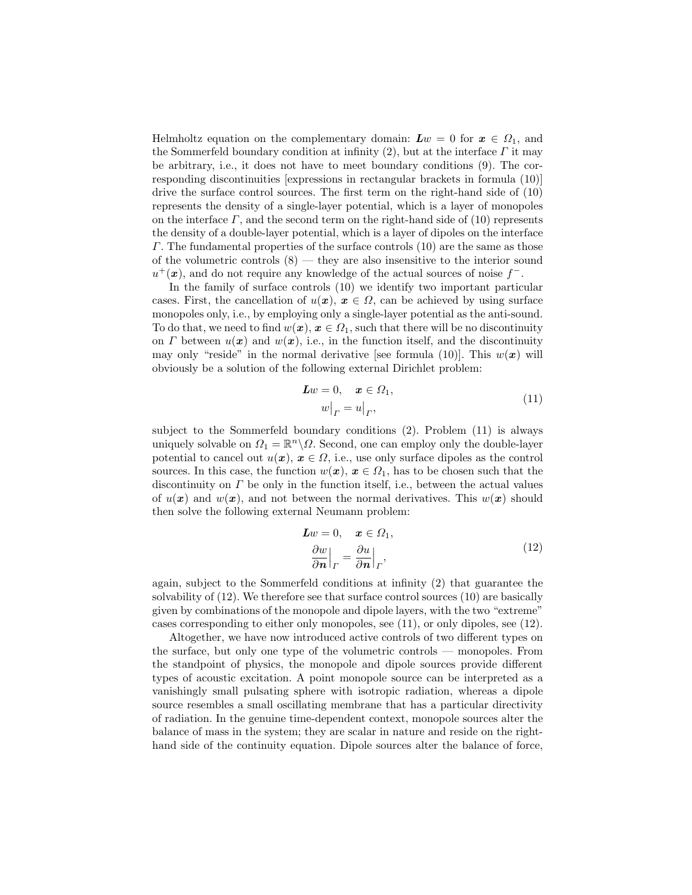Helmholtz equation on the complementary domain:  $Lw = 0$  for  $x \in \Omega_1$ , and the Sommerfeld boundary condition at infinity (2), but at the interface  $\Gamma$  it may be arbitrary, i.e., it does not have to meet boundary conditions (9). The corresponding discontinuities [expressions in rectangular brackets in formula (10)] drive the surface control sources. The first term on the right-hand side of (10) represents the density of a single-layer potential, which is a layer of monopoles on the interface  $\Gamma$ , and the second term on the right-hand side of (10) represents the density of a double-layer potential, which is a layer of dipoles on the interface Γ. The fundamental properties of the surface controls (10) are the same as those of the volumetric controls  $(8)$  — they are also insensitive to the interior sound  $u^+(\boldsymbol{x})$ , and do not require any knowledge of the actual sources of noise  $f^-$ .

In the family of surface controls (10) we identify two important particular cases. First, the cancellation of  $u(x)$ ,  $x \in \Omega$ , can be achieved by using surface monopoles only, i.e., by employing only a single-layer potential as the anti-sound. To do that, we need to find  $w(x)$ ,  $x \in \Omega_1$ , such that there will be no discontinuity on Γ between  $u(x)$  and  $w(x)$ , i.e., in the function itself, and the discontinuity may only "reside" in the normal derivative [see formula (10)]. This  $w(x)$  will obviously be a solution of the following external Dirichlet problem:

$$
Lw = 0, \quad \boldsymbol{x} \in \Omega_1,
$$
  
\n
$$
w\big|_{\Gamma} = u\big|_{\Gamma},
$$
\n(11)

subject to the Sommerfeld boundary conditions (2). Problem (11) is always uniquely solvable on  $\Omega_1 = \mathbb{R}^n \backslash \Omega$ . Second, one can employ only the double-layer potential to cancel out  $u(x)$ ,  $x \in \Omega$ , i.e., use only surface dipoles as the control sources. In this case, the function  $w(x)$ ,  $x \in \Omega_1$ , has to be chosen such that the discontinuity on  $\Gamma$  be only in the function itself, i.e., between the actual values of  $u(x)$  and  $w(x)$ , and not between the normal derivatives. This  $w(x)$  should then solve the following external Neumann problem:

$$
Lw = 0, \quad \boldsymbol{x} \in \Omega_1,
$$
  
\n
$$
\frac{\partial w}{\partial \boldsymbol{n}}\Big|_{\Gamma} = \frac{\partial u}{\partial \boldsymbol{n}}\Big|_{\Gamma},
$$
\n(12)

again, subject to the Sommerfeld conditions at infinity (2) that guarantee the solvability of  $(12)$ . We therefore see that surface control sources  $(10)$  are basically given by combinations of the monopole and dipole layers, with the two "extreme" cases corresponding to either only monopoles, see (11), or only dipoles, see (12).

Altogether, we have now introduced active controls of two different types on the surface, but only one type of the volumetric controls — monopoles. From the standpoint of physics, the monopole and dipole sources provide different types of acoustic excitation. A point monopole source can be interpreted as a vanishingly small pulsating sphere with isotropic radiation, whereas a dipole source resembles a small oscillating membrane that has a particular directivity of radiation. In the genuine time-dependent context, monopole sources alter the balance of mass in the system; they are scalar in nature and reside on the righthand side of the continuity equation. Dipole sources alter the balance of force,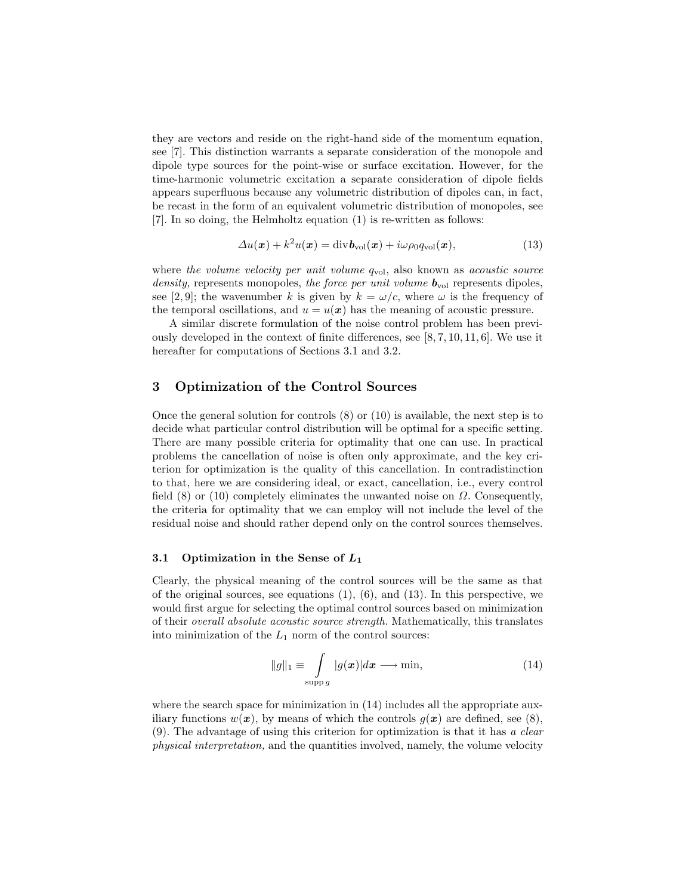they are vectors and reside on the right-hand side of the momentum equation, see [7]. This distinction warrants a separate consideration of the monopole and dipole type sources for the point-wise or surface excitation. However, for the time-harmonic volumetric excitation a separate consideration of dipole fields appears superfluous because any volumetric distribution of dipoles can, in fact, be recast in the form of an equivalent volumetric distribution of monopoles, see [7]. In so doing, the Helmholtz equation (1) is re-written as follows:

$$
\Delta u(\boldsymbol{x}) + k^2 u(\boldsymbol{x}) = \text{div} \boldsymbol{b}_{\text{vol}}(\boldsymbol{x}) + i\omega \rho_0 q_{\text{vol}}(\boldsymbol{x}), \qquad (13)
$$

where the volume velocity per unit volume  $q_{\text{vol}}$ , also known as acoustic source density, represents monopoles, the force per unit volume  $\mathbf{b}_{\text{vol}}$  represents dipoles, see [2, 9]; the wavenumber k is given by  $k = \omega/c$ , where  $\omega$  is the frequency of the temporal oscillations, and  $u = u(x)$  has the meaning of acoustic pressure.

A similar discrete formulation of the noise control problem has been previously developed in the context of finite differences, see [8, 7, 10, 11, 6]. We use it hereafter for computations of Sections 3.1 and 3.2.

## 3 Optimization of the Control Sources

Once the general solution for controls (8) or (10) is available, the next step is to decide what particular control distribution will be optimal for a specific setting. There are many possible criteria for optimality that one can use. In practical problems the cancellation of noise is often only approximate, and the key criterion for optimization is the quality of this cancellation. In contradistinction to that, here we are considering ideal, or exact, cancellation, i.e., every control field  $(8)$  or  $(10)$  completely eliminates the unwanted noise on  $\Omega$ . Consequently, the criteria for optimality that we can employ will not include the level of the residual noise and should rather depend only on the control sources themselves.

### 3.1 Optimization in the Sense of  $L_1$

Clearly, the physical meaning of the control sources will be the same as that of the original sources, see equations (1), (6), and (13). In this perspective, we would first argue for selecting the optimal control sources based on minimization of their overall absolute acoustic source strength. Mathematically, this translates into minimization of the  $L_1$  norm of the control sources:

$$
||g||_1 \equiv \int_{\text{supp }g} |g(x)|dx \longrightarrow \min,
$$
\n(14)

where the search space for minimization in  $(14)$  includes all the appropriate auxiliary functions  $w(x)$ , by means of which the controls  $q(x)$  are defined, see (8), (9). The advantage of using this criterion for optimization is that it has a clear physical interpretation, and the quantities involved, namely, the volume velocity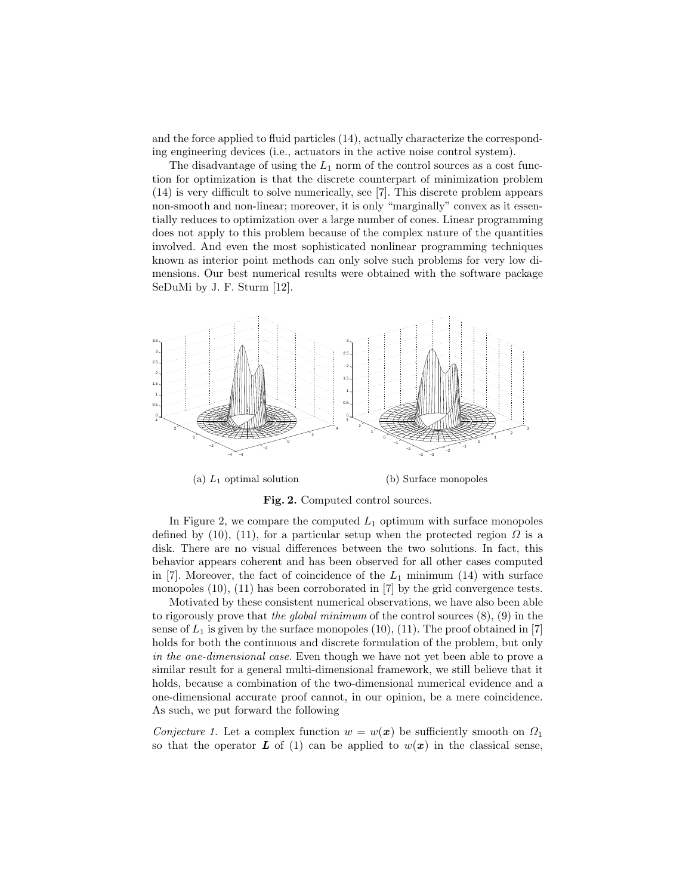and the force applied to fluid particles (14), actually characterize the corresponding engineering devices (i.e., actuators in the active noise control system).

The disadvantage of using the  $L_1$  norm of the control sources as a cost function for optimization is that the discrete counterpart of minimization problem (14) is very difficult to solve numerically, see [7]. This discrete problem appears non-smooth and non-linear; moreover, it is only "marginally" convex as it essentially reduces to optimization over a large number of cones. Linear programming does not apply to this problem because of the complex nature of the quantities involved. And even the most sophisticated nonlinear programming techniques known as interior point methods can only solve such problems for very low dimensions. Our best numerical results were obtained with the software package SeDuMi by J. F. Sturm [12].



(a)  $L_1$  optimal solution (b) Surface monopoles

Fig. 2. Computed control sources.

In Figure 2, we compare the computed  $L_1$  optimum with surface monopoles defined by (10), (11), for a particular setup when the protected region  $\Omega$  is a disk. There are no visual differences between the two solutions. In fact, this behavior appears coherent and has been observed for all other cases computed in [7]. Moreover, the fact of coincidence of the  $L_1$  minimum (14) with surface monopoles (10), (11) has been corroborated in [7] by the grid convergence tests.

Motivated by these consistent numerical observations, we have also been able to rigorously prove that the global minimum of the control sources  $(8)$ ,  $(9)$  in the sense of  $L_1$  is given by the surface monopoles  $(10)$ ,  $(11)$ . The proof obtained in [7] holds for both the continuous and discrete formulation of the problem, but only in the one-dimensional case. Even though we have not yet been able to prove a similar result for a general multi-dimensional framework, we still believe that it holds, because a combination of the two-dimensional numerical evidence and a one-dimensional accurate proof cannot, in our opinion, be a mere coincidence. As such, we put forward the following

Conjecture 1. Let a complex function  $w = w(x)$  be sufficiently smooth on  $\Omega_1$ so that the operator L of (1) can be applied to  $w(x)$  in the classical sense,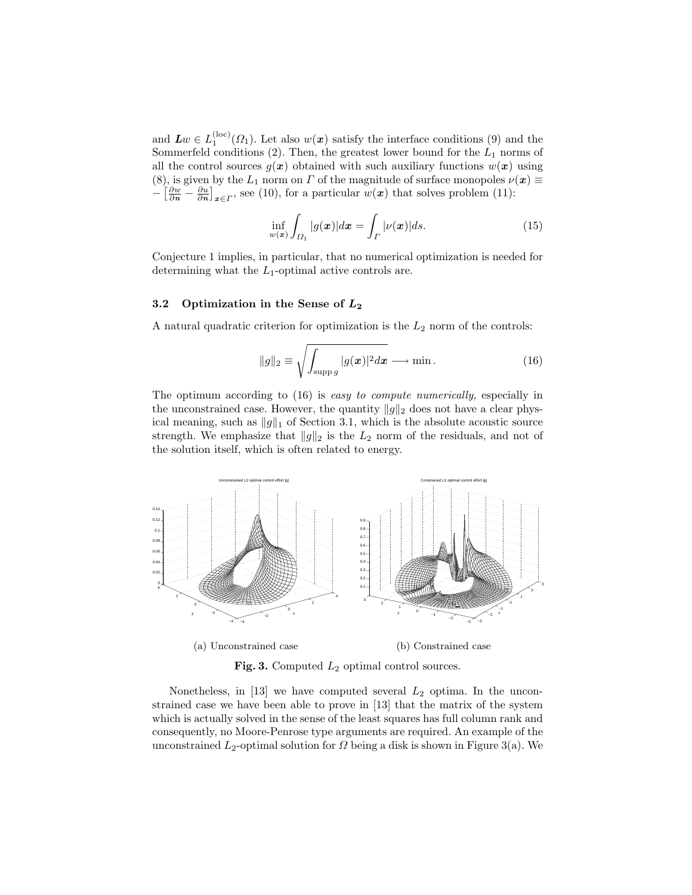and  $\mathbf{L} w \in L_1^{(\mathrm{loc})}(\Omega_1)$ . Let also  $w(\mathbf{x})$  satisfy the interface conditions (9) and the Sommerfeld conditions  $(2)$ . Then, the greatest lower bound for the  $L_1$  norms of all the control sources  $g(x)$  obtained with such auxiliary functions  $w(x)$  using (8), is given by the  $L_1$  norm on  $\Gamma$  of the magnitude of surface monopoles  $\nu(\mathbf{x}) \equiv$  $-\left[\frac{\partial w}{\partial n} - \frac{\partial u}{\partial n}\right]_{x \in \Gamma}$ , see (10), for a particular  $w(x)$  that solves problem (11):

$$
\inf_{w(x)} \int_{\Omega_1} |g(x)| dx = \int_{\Gamma} |\nu(x)| ds.
$$
\n(15)

Conjecture 1 implies, in particular, that no numerical optimization is needed for determining what the  $L_1$ -optimal active controls are.

#### 3.2 Optimization in the Sense of  $L_2$

A natural quadratic criterion for optimization is the  $L_2$  norm of the controls:

$$
||g||_2 \equiv \sqrt{\int_{\text{supp }g} |g(\boldsymbol{x})|^2 d\boldsymbol{x}} \longrightarrow \min. \tag{16}
$$

The optimum according to  $(16)$  is easy to compute numerically, especially in the unconstrained case. However, the quantity  $||g||_2$  does not have a clear physical meaning, such as  $||g||_1$  of Section 3.1, which is the absolute acoustic source strength. We emphasize that  $||g||_2$  is the  $L_2$  norm of the residuals, and not of the solution itself, which is often related to energy.



Fig. 3. Computed  $L_2$  optimal control sources.

Nonetheless, in [13] we have computed several  $L_2$  optima. In the unconstrained case we have been able to prove in [13] that the matrix of the system which is actually solved in the sense of the least squares has full column rank and consequently, no Moore-Penrose type arguments are required. An example of the unconstrained  $L_2$ -optimal solution for  $\Omega$  being a disk is shown in Figure 3(a). We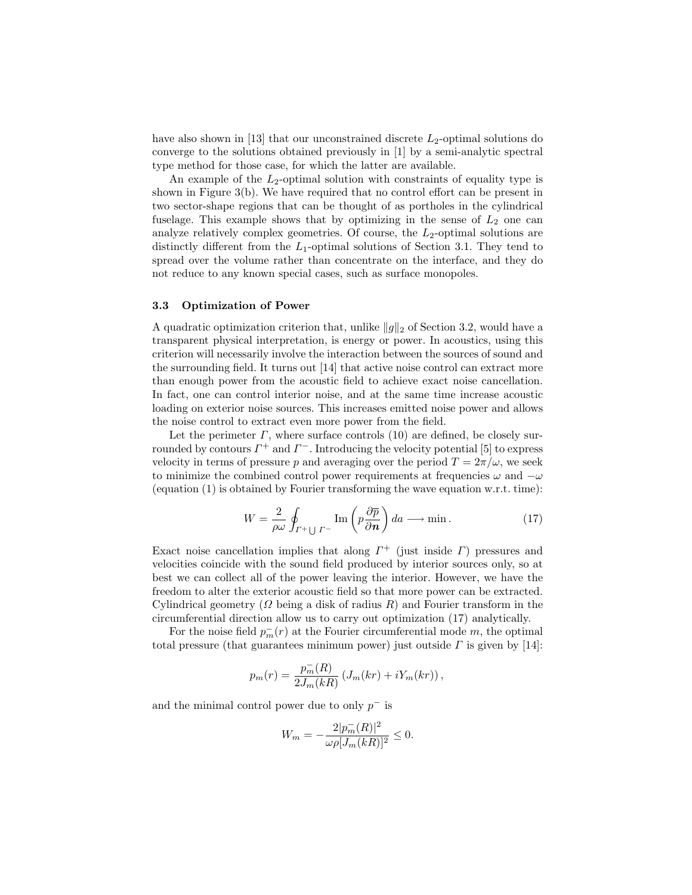have also shown in  $[13]$  that our unconstrained discrete  $L_2$ -optimal solutions do converge to the solutions obtained previously in [1] by a semi-analytic spectral type method for those case, for which the latter are available.

An example of the  $L_2$ -optimal solution with constraints of equality type is shown in Figure 3(b). We have required that no control effort can be present in two sector-shape regions that can be thought of as portholes in the cylindrical fuselage. This example shows that by optimizing in the sense of  $L_2$  one can analyze relatively complex geometries. Of course, the  $L_2$ -optimal solutions are distinctly different from the  $L_1$ -optimal solutions of Section 3.1. They tend to spread over the volume rather than concentrate on the interface, and they do not reduce to any known special cases, such as surface monopoles.

#### 3.3 Optimization of Power

A quadratic optimization criterion that, unlike  $||g||_2$  of Section 3.2, would have a transparent physical interpretation, is energy or power. In acoustics, using this criterion will necessarily involve the interaction between the sources of sound and the surrounding field. It turns out [14] that active noise control can extract more than enough power from the acoustic field to achieve exact noise cancellation. In fact, one can control interior noise, and at the same time increase acoustic loading on exterior noise sources. This increases emitted noise power and allows the noise control to extract even more power from the field.

Let the perimeter  $\Gamma$ , where surface controls (10) are defined, be closely surrounded by contours  $\Gamma^+$  and  $\Gamma^-$ . Introducing the velocity potential [5] to express velocity in terms of pressure p and averaging over the period  $T = 2\pi/\omega$ , we seek to minimize the combined control power requirements at frequencies  $\omega$  and  $-\omega$ (equation  $(1)$  is obtained by Fourier transforming the wave equation w.r.t. time):

$$
W = \frac{2}{\rho \omega} \oint_{\Gamma^+ \cup \Gamma^-} \text{Im} \left( p \frac{\partial \overline{p}}{\partial n} \right) da \longrightarrow \min. \tag{17}
$$

Exact noise cancellation implies that along  $\Gamma^+$  (just inside  $\Gamma$ ) pressures and velocities coincide with the sound field produced by interior sources only, so at best we can collect all of the power leaving the interior. However, we have the freedom to alter the exterior acoustic field so that more power can be extracted. Cylindrical geometry ( $\Omega$  being a disk of radius R) and Fourier transform in the circumferential direction allow us to carry out optimization (17) analytically.

For the noise field  $p_m^-(r)$  at the Fourier circumferential mode m, the optimal total pressure (that guarantees minimum power) just outside  $\Gamma$  is given by [14]:

$$
p_m(r) = \frac{p_m^-(R)}{2J_m(kR)} \left( J_m(kr) + iY_m(kr) \right),
$$

and the minimal control power due to only  $p^-$  is

$$
W_m = -\frac{2|p_m^-(R)|^2}{\omega \rho [J_m(kR)]^2} \le 0.
$$